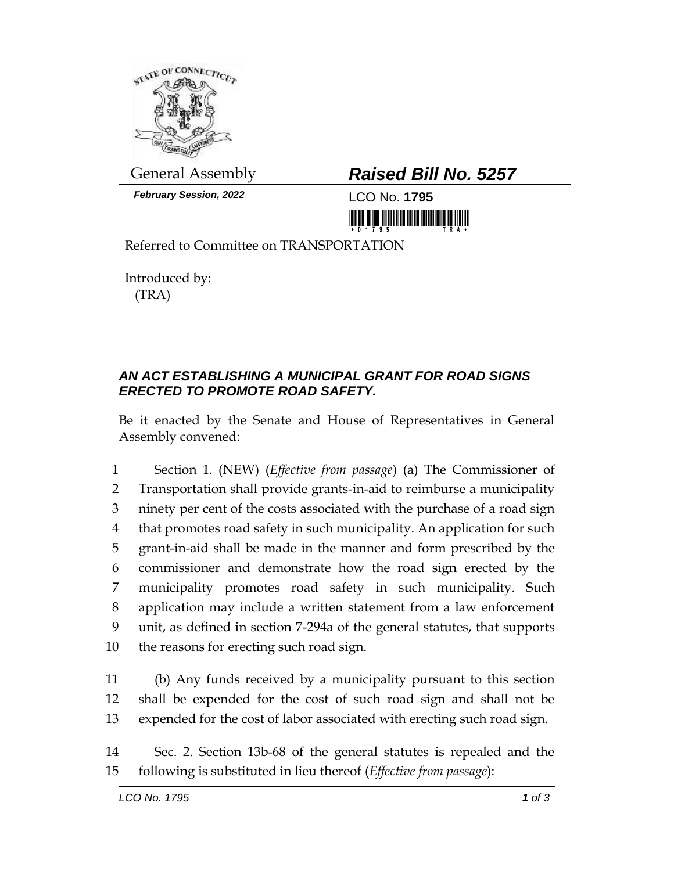

*February Session, 2022* LCO No. **1795**

## General Assembly *Raised Bill No. 5257*

<u> 1999 - An Dùbhlachd Marwrig ann an Dùbhan An Dùbhlachd ann an Dùbhlachd ann an Dùbhlachd ann an Dùbhlachd ann </u>

Referred to Committee on TRANSPORTATION

Introduced by: (TRA)

## *AN ACT ESTABLISHING A MUNICIPAL GRANT FOR ROAD SIGNS ERECTED TO PROMOTE ROAD SAFETY.*

Be it enacted by the Senate and House of Representatives in General Assembly convened:

 Section 1. (NEW) (*Effective from passage*) (a) The Commissioner of Transportation shall provide grants-in-aid to reimburse a municipality ninety per cent of the costs associated with the purchase of a road sign that promotes road safety in such municipality. An application for such grant-in-aid shall be made in the manner and form prescribed by the commissioner and demonstrate how the road sign erected by the municipality promotes road safety in such municipality. Such application may include a written statement from a law enforcement unit, as defined in section 7-294a of the general statutes, that supports the reasons for erecting such road sign.

11 (b) Any funds received by a municipality pursuant to this section 12 shall be expended for the cost of such road sign and shall not be 13 expended for the cost of labor associated with erecting such road sign.

14 Sec. 2. Section 13b-68 of the general statutes is repealed and the 15 following is substituted in lieu thereof (*Effective from passage*):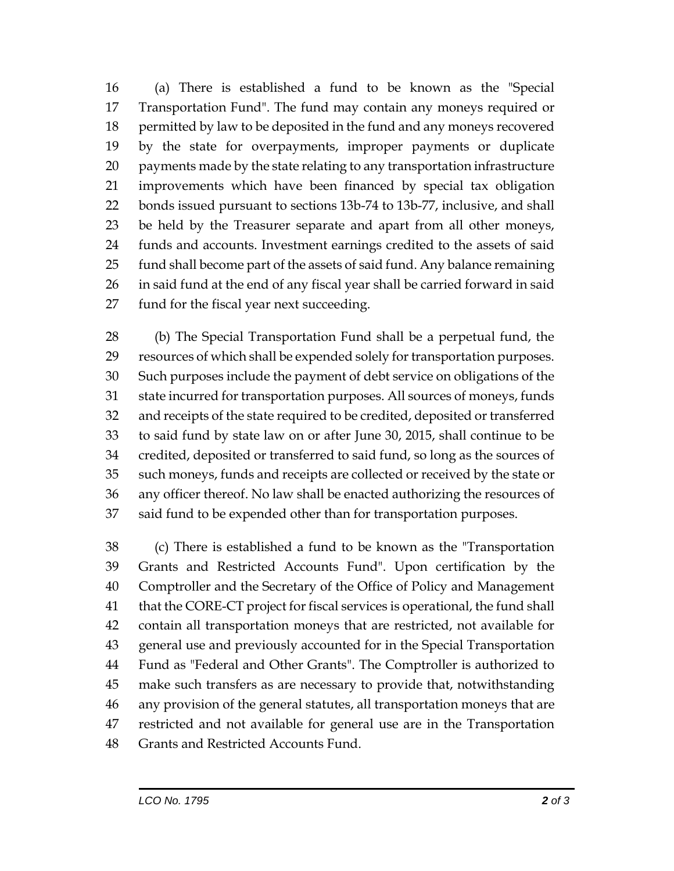(a) There is established a fund to be known as the "Special Transportation Fund". The fund may contain any moneys required or permitted by law to be deposited in the fund and any moneys recovered by the state for overpayments, improper payments or duplicate payments made by the state relating to any transportation infrastructure improvements which have been financed by special tax obligation bonds issued pursuant to sections 13b-74 to 13b-77, inclusive, and shall be held by the Treasurer separate and apart from all other moneys, funds and accounts. Investment earnings credited to the assets of said fund shall become part of the assets of said fund. Any balance remaining in said fund at the end of any fiscal year shall be carried forward in said fund for the fiscal year next succeeding.

 (b) The Special Transportation Fund shall be a perpetual fund, the resources of which shall be expended solely for transportation purposes. Such purposes include the payment of debt service on obligations of the state incurred for transportation purposes. All sources of moneys, funds and receipts of the state required to be credited, deposited or transferred to said fund by state law on or after June 30, 2015, shall continue to be credited, deposited or transferred to said fund, so long as the sources of such moneys, funds and receipts are collected or received by the state or any officer thereof. No law shall be enacted authorizing the resources of said fund to be expended other than for transportation purposes.

 (c) There is established a fund to be known as the "Transportation Grants and Restricted Accounts Fund". Upon certification by the Comptroller and the Secretary of the Office of Policy and Management that the CORE-CT project for fiscal services is operational, the fund shall contain all transportation moneys that are restricted, not available for general use and previously accounted for in the Special Transportation Fund as "Federal and Other Grants". The Comptroller is authorized to make such transfers as are necessary to provide that, notwithstanding any provision of the general statutes, all transportation moneys that are restricted and not available for general use are in the Transportation Grants and Restricted Accounts Fund.